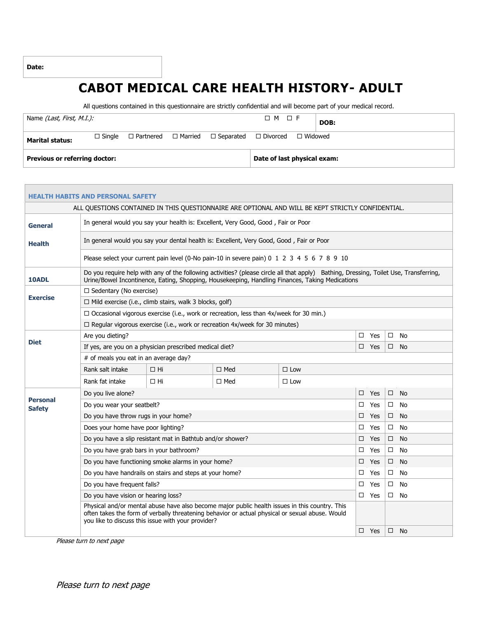**Date:**

## **CABOT MEDICAL CARE HEALTH HISTORY- ADULT**

All questions contained in this questionnaire are strictly confidential and will become part of your medical record.

| Name <i>(Last, First, M.I.):</i>     |                  |  |                                                  | $\Box M \quad \Box F$          | DOB: |
|--------------------------------------|------------------|--|--------------------------------------------------|--------------------------------|------|
| <b>Marital status:</b>               | $\square$ Single |  | $\Box$ Partnered $\Box$ Married $\Box$ Separated | $\Box$ Divorced $\Box$ Widowed |      |
| <b>Previous or referring doctor:</b> |                  |  | Date of last physical exam:                      |                                |      |

|                                  | <b>HEALTH HABITS AND PERSONAL SAFETY</b>                                                   |                                                                                               |            |                                                                                                                                                                                                                                          |            |                     |  |  |
|----------------------------------|--------------------------------------------------------------------------------------------|-----------------------------------------------------------------------------------------------|------------|------------------------------------------------------------------------------------------------------------------------------------------------------------------------------------------------------------------------------------------|------------|---------------------|--|--|
|                                  |                                                                                            |                                                                                               |            | ALL QUESTIONS CONTAINED IN THIS QUESTIONNAIRE ARE OPTIONAL AND WILL BE KEPT STRICTLY CONFIDENTIAL.                                                                                                                                       |            |                     |  |  |
| General                          |                                                                                            | In general would you say your health is: Excellent, Very Good, Good, Fair or Poor             |            |                                                                                                                                                                                                                                          |            |                     |  |  |
| <b>Health</b>                    |                                                                                            | In general would you say your dental health is: Excellent, Very Good, Good, Fair or Poor      |            |                                                                                                                                                                                                                                          |            |                     |  |  |
|                                  |                                                                                            |                                                                                               |            | Please select your current pain level (0-No pain-10 in severe pain) 0 1 2 3 4 5 6 7 8 9 10                                                                                                                                               |            |                     |  |  |
| 10ADL                            |                                                                                            |                                                                                               |            | Do you require help with any of the following activities? (please circle all that apply) Bathing, Dressing, Toilet Use, Transferring,<br>Urine/Bowel Incontinence, Eating, Shopping, Housekeeping, Handling Finances, Taking Medications |            |                     |  |  |
|                                  | $\Box$ Sedentary (No exercise)                                                             |                                                                                               |            |                                                                                                                                                                                                                                          |            |                     |  |  |
| <b>Exercise</b>                  |                                                                                            | $\Box$ Mild exercise (i.e., climb stairs, walk 3 blocks, golf)                                |            |                                                                                                                                                                                                                                          |            |                     |  |  |
|                                  |                                                                                            | $\Box$ Occasional vigorous exercise (i.e., work or recreation, less than 4x/week for 30 min.) |            |                                                                                                                                                                                                                                          |            |                     |  |  |
|                                  |                                                                                            | $\Box$ Regular vigorous exercise (i.e., work or recreation 4x/week for 30 minutes)            |            |                                                                                                                                                                                                                                          |            |                     |  |  |
| <b>Diet</b>                      | Are you dieting?                                                                           |                                                                                               |            |                                                                                                                                                                                                                                          | $\Box$ Yes | $\Box$<br><b>No</b> |  |  |
|                                  |                                                                                            | If yes, are you on a physician prescribed medical diet?                                       |            |                                                                                                                                                                                                                                          | $\Box$ Yes | $\square$ No        |  |  |
|                                  | # of meals you eat in an average day?                                                      |                                                                                               |            |                                                                                                                                                                                                                                          |            |                     |  |  |
|                                  | Rank salt intake                                                                           | $\Box$ Hi                                                                                     | $\Box$ Med | $\Box$ Low                                                                                                                                                                                                                               |            |                     |  |  |
|                                  | Rank fat intake                                                                            | $\Box$ Hi                                                                                     | $\Box$ Med | $\Box$ Low                                                                                                                                                                                                                               |            |                     |  |  |
|                                  | Do you live alone?                                                                         |                                                                                               |            |                                                                                                                                                                                                                                          | □<br>Yes   | $\Box$<br><b>No</b> |  |  |
| <b>Personal</b><br><b>Safety</b> | Do you wear your seatbelt?                                                                 |                                                                                               |            |                                                                                                                                                                                                                                          | □<br>Yes   | $\Box$<br>No        |  |  |
|                                  | Do you have throw rugs in your home?                                                       |                                                                                               |            |                                                                                                                                                                                                                                          | □<br>Yes   | $\Box$<br><b>No</b> |  |  |
|                                  | Does your home have poor lighting?                                                         |                                                                                               |            |                                                                                                                                                                                                                                          | Yes<br>□   | <b>No</b><br>$\Box$ |  |  |
|                                  |                                                                                            | Do you have a slip resistant mat in Bathtub and/or shower?                                    |            |                                                                                                                                                                                                                                          | □<br>Yes   | <b>No</b><br>$\Box$ |  |  |
|                                  | Do you have grab bars in your bathroom?<br>□<br>Yes<br>$\Box$<br><b>No</b>                 |                                                                                               |            |                                                                                                                                                                                                                                          |            |                     |  |  |
|                                  | Do you have functioning smoke alarms in your home?<br>□<br>Yes<br>$\Box$<br><b>No</b>      |                                                                                               |            |                                                                                                                                                                                                                                          |            |                     |  |  |
|                                  | Do you have handrails on stairs and steps at your home?<br>$\Box$<br><b>No</b><br>□<br>Yes |                                                                                               |            |                                                                                                                                                                                                                                          |            |                     |  |  |
|                                  | Do you have frequent falls?<br>□<br>Yes<br>$\Box$<br><b>No</b>                             |                                                                                               |            |                                                                                                                                                                                                                                          |            |                     |  |  |
|                                  |                                                                                            | Do you have vision or hearing loss?<br>$\Box$<br>Yes<br><b>No</b><br>□                        |            |                                                                                                                                                                                                                                          |            |                     |  |  |
|                                  |                                                                                            | you like to discuss this issue with your provider?                                            |            | Physical and/or mental abuse have also become major public health issues in this country. This<br>often takes the form of verbally threatening behavior or actual physical or sexual abuse. Would                                        |            |                     |  |  |
|                                  | $\square$ Yes<br>$\Box$<br>- No                                                            |                                                                                               |            |                                                                                                                                                                                                                                          |            |                     |  |  |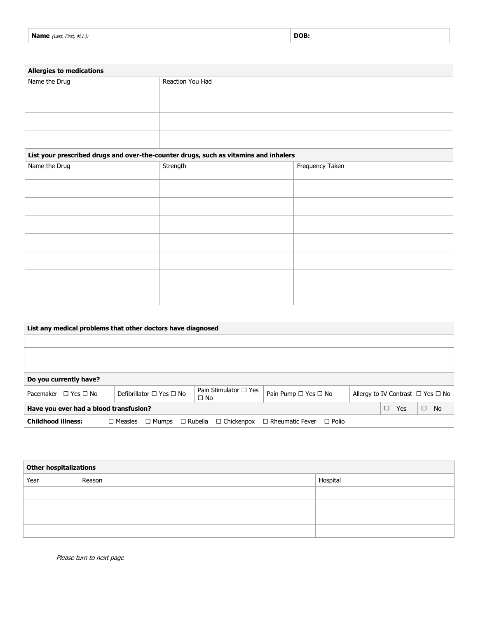| <b>Name</b> (Last, First, M.I.): | DOB: |
|----------------------------------|------|
|----------------------------------|------|

| <b>Allergies to medications</b>                                                      |                  |                 |  |  |
|--------------------------------------------------------------------------------------|------------------|-----------------|--|--|
| Name the Drug                                                                        | Reaction You Had |                 |  |  |
|                                                                                      |                  |                 |  |  |
|                                                                                      |                  |                 |  |  |
|                                                                                      |                  |                 |  |  |
| List your prescribed drugs and over-the-counter drugs, such as vitamins and inhalers |                  |                 |  |  |
| Name the Drug                                                                        | Strength         | Frequency Taken |  |  |
|                                                                                      |                  |                 |  |  |

| List any medical problems that other doctors have diagnosed |                                    |                                            |                                        |  |               |                                             |  |
|-------------------------------------------------------------|------------------------------------|--------------------------------------------|----------------------------------------|--|---------------|---------------------------------------------|--|
|                                                             |                                    |                                            |                                        |  |               |                                             |  |
|                                                             |                                    |                                            |                                        |  |               |                                             |  |
|                                                             |                                    |                                            |                                        |  |               |                                             |  |
| Do you currently have?                                      |                                    |                                            |                                        |  |               |                                             |  |
| Pacemaker $\Box$ Yes $\Box$ No                              | Defibrillator $\Box$ Yes $\Box$ No | Pain Stimulator $\Box$ Yes<br>$\square$ No | Pain Pump $\Box$ Yes $\Box$ No         |  |               | Allergy to IV Contrast $\Box$ Yes $\Box$ No |  |
| Have you ever had a blood transfusion?                      |                                    |                                            |                                        |  | $\Box$<br>Yes | $\Box$<br><b>No</b>                         |  |
| <b>Childhood illness:</b>                                   | $\Box$ Measles<br>$\Box$ Mumps     | $\Box$ Rubella<br>$\Box$ Chickenpox        | $\Box$ Rheumatic Fever<br>$\Box$ Polio |  |               |                                             |  |

| Other hospitalizations |        |          |  |  |
|------------------------|--------|----------|--|--|
| Year                   | Reason | Hospital |  |  |
|                        |        |          |  |  |
|                        |        |          |  |  |
|                        |        |          |  |  |
|                        |        |          |  |  |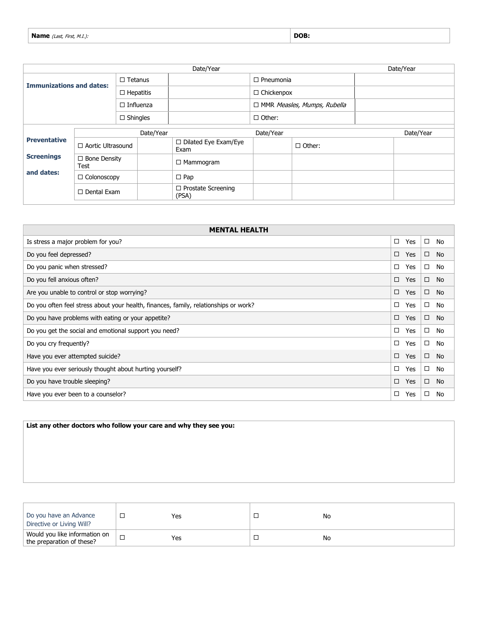| <b>DOB</b><br>Name $\alpha$<br>$\cdots$<br>(Last,<br><i>First, M.I.):</i> |  |
|---------------------------------------------------------------------------|--|
|---------------------------------------------------------------------------|--|

| Date/Year                       |                             |                  |                                    |                                     |                   |                  |  | Date/Year |
|---------------------------------|-----------------------------|------------------|------------------------------------|-------------------------------------|-------------------|------------------|--|-----------|
| <b>Immunizations and dates:</b> |                             | $\Box$ Tetanus   |                                    |                                     |                   | $\Box$ Pneumonia |  |           |
|                                 |                             | $\Box$ Hepatitis |                                    |                                     | $\Box$ Chickenpox |                  |  |           |
|                                 |                             | $\Box$ Influenza |                                    | □ MMR Measles, Mumps, Rubella       |                   |                  |  |           |
|                                 | $\square$ Shingles          |                  |                                    |                                     | $\Box$ Other:     |                  |  |           |
|                                 | Date/Year                   |                  |                                    | Date/Year                           |                   |                  |  | Date/Year |
| <b>Preventative</b>             | $\Box$ Aortic Ultrasound    |                  |                                    | $\Box$ Dilated Eye Exam/Eye<br>Exam |                   | $\Box$ Other:    |  |           |
| <b>Screenings</b>               | $\Box$ Bone Density<br>Test |                  |                                    | $\Box$ Mammogram                    |                   |                  |  |           |
| and dates:<br>□ Colonoscopy     |                             | $\Box$ Pap       |                                    |                                     |                   |                  |  |           |
|                                 | $\Box$ Dental Exam          |                  | $\Box$ Prostate Screening<br>(PSA) |                                     |                   |                  |  |           |

| <b>MENTAL HEALTH</b>                                                                 |        |            |        |           |  |  |
|--------------------------------------------------------------------------------------|--------|------------|--------|-----------|--|--|
| Is stress a major problem for you?                                                   | $\Box$ | Yes        | □      | No        |  |  |
| Do you feel depressed?                                                               | $\Box$ | <b>Yes</b> | $\Box$ | <b>No</b> |  |  |
| Do you panic when stressed?                                                          | $\Box$ | Yes        | $\Box$ | No        |  |  |
| Do you fell anxious often?                                                           | $\Box$ | Yes        | $\Box$ | No        |  |  |
| Are you unable to control or stop worrying?<br>$\Box$                                |        |            |        |           |  |  |
| Do you often feel stress about your health, finances, family, relationships or work? |        |            |        | No        |  |  |
| $\Box$<br>Do you have problems with eating or your appetite?                         |        |            |        | No        |  |  |
| $\Box$<br>Do you get the social and emotional support you need?                      |        |            |        | No        |  |  |
| Do you cry frequently?                                                               |        |            |        | No        |  |  |
| Have you ever attempted suicide?                                                     |        |            |        | No        |  |  |
| Have you ever seriously thought about hurting yourself?                              |        |            |        | No        |  |  |
| $\Box$<br>$\Box$<br>Do you have trouble sleeping?<br><b>Yes</b><br><b>No</b>         |        |            |        |           |  |  |
| Have you ever been to a counselor?                                                   | $\Box$ | Yes        | □      | No        |  |  |

**List any other doctors who follow your care and why they see you:**

| Do you have an Advance<br>Directive or Living Will?        | Yes | No |
|------------------------------------------------------------|-----|----|
| Would you like information on<br>the preparation of these? | Yes | No |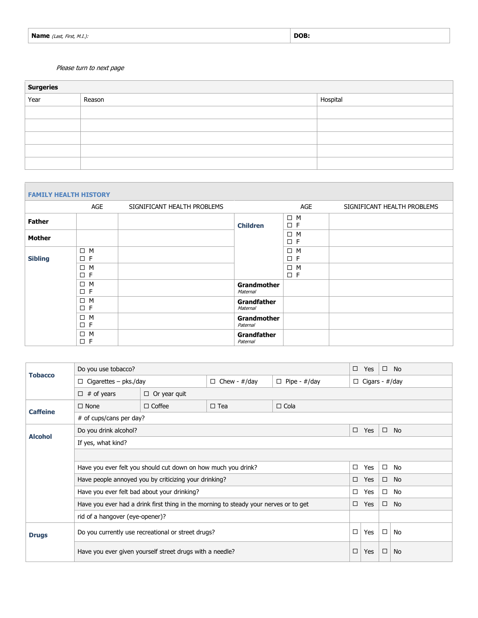| <b>Name</b> (Last, First, M.I.): | DOB. |
|----------------------------------|------|
|----------------------------------|------|

| <b>Surgeries</b> |        |          |  |  |  |  |  |  |
|------------------|--------|----------|--|--|--|--|--|--|
| Year             | Reason | Hospital |  |  |  |  |  |  |
|                  |        |          |  |  |  |  |  |  |
|                  |        |          |  |  |  |  |  |  |
|                  |        |          |  |  |  |  |  |  |
|                  |        |          |  |  |  |  |  |  |
|                  |        |          |  |  |  |  |  |  |

| <b>FAMILY HEALTH HISTORY</b> |                         |                             |                                |                         |                             |
|------------------------------|-------------------------|-----------------------------|--------------------------------|-------------------------|-----------------------------|
|                              | AGE                     | SIGNIFICANT HEALTH PROBLEMS |                                | AGE                     | SIGNIFICANT HEALTH PROBLEMS |
| <b>Father</b>                |                         |                             | <b>Children</b>                | $\Box$ M<br>$\square$ F |                             |
| Mother                       |                         |                             |                                | $\Box$ M<br>$\Box$ F    |                             |
| <b>Sibling</b>               | $\Box$ M<br>$\Box$ F    |                             |                                | $\Box$ M<br>$\square$ F |                             |
|                              | $\Box$ M<br>$\square$ F |                             |                                | $\Box$ M<br>$\square$ F |                             |
|                              | $\Box$ M<br>$\square$ F |                             | Grandmother<br>Maternal        |                         |                             |
|                              | $\Box$ M<br>$\square$ F |                             | <b>Grandfather</b><br>Maternal |                         |                             |
|                              | $\Box$ M<br>$\square$ F |                             | Grandmother<br>Paternal        |                         |                             |
|                              | $\Box$ M<br>$\square$ F |                             | <b>Grandfather</b><br>Paternal |                         |                             |

| <b>Tobacco</b>  | Do you use tobacco?<br>□                                                                                         |                                                       |                     |                     |        | Yes                   |        | $\square$ No |  |  |
|-----------------|------------------------------------------------------------------------------------------------------------------|-------------------------------------------------------|---------------------|---------------------|--------|-----------------------|--------|--------------|--|--|
|                 | $\Box$ Cigarettes - pks./day                                                                                     |                                                       | $\Box$ Chew - #/day | $\Box$ Pipe - #/day |        | $\Box$ Cigars - #/day |        |              |  |  |
|                 | $\Box$ # of years                                                                                                | $\Box$ Or year quit                                   |                     |                     |        |                       |        |              |  |  |
| <b>Caffeine</b> | $\Box$ None                                                                                                      | $\Box$ Coffee                                         | $\Box$ Tea          | $\Box$ Cola         |        |                       |        |              |  |  |
|                 | # of cups/cans per day?                                                                                          |                                                       |                     |                     |        |                       |        |              |  |  |
| <b>Alcohol</b>  | Do you drink alcohol?                                                                                            |                                                       |                     |                     |        |                       |        | No           |  |  |
|                 | If yes, what kind?                                                                                               |                                                       |                     |                     |        |                       |        |              |  |  |
|                 |                                                                                                                  |                                                       |                     |                     |        |                       |        |              |  |  |
|                 | Have you ever felt you should cut down on how much you drink?                                                    | Yes                                                   | $\Box$              | No                  |        |                       |        |              |  |  |
|                 |                                                                                                                  | Have people annoyed you by criticizing your drinking? |                     | □                   | Yes    | $\Box$                | No     |              |  |  |
|                 | Have you ever felt bad about your drinking?                                                                      |                                                       | $\Box$              | Yes                 | $\Box$ | No                    |        |              |  |  |
|                 | Have you ever had a drink first thing in the morning to steady your nerves or to get<br>$\square$ No<br>Yes<br>□ |                                                       |                     |                     |        |                       |        |              |  |  |
|                 | rid of a hangover (eye-opener)?                                                                                  |                                                       |                     |                     |        |                       |        |              |  |  |
| <b>Drugs</b>    | Do you currently use recreational or street drugs?                                                               |                                                       |                     |                     |        | Yes                   | $\Box$ | No           |  |  |
|                 | Have you ever given yourself street drugs with a needle?                                                         |                                                       |                     |                     |        |                       |        | No           |  |  |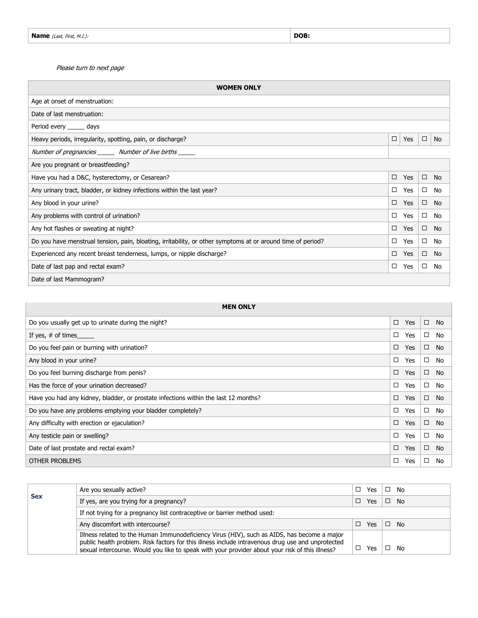| <b>WOMEN ONLY</b>                                                                                           |   |     |        |           |  |  |
|-------------------------------------------------------------------------------------------------------------|---|-----|--------|-----------|--|--|
| Age at onset of menstruation:                                                                               |   |     |        |           |  |  |
| Date of last menstruation:                                                                                  |   |     |        |           |  |  |
| Period every ______ days                                                                                    |   |     |        |           |  |  |
| Heavy periods, irregularity, spotting, pain, or discharge?                                                  | □ | Yes | $\Box$ | No        |  |  |
| Number of pregnancies _______ Number of live births ______                                                  |   |     |        |           |  |  |
| Are you pregnant or breastfeeding?                                                                          |   |     |        |           |  |  |
| Have you had a D&C, hysterectomy, or Cesarean?                                                              |   |     |        | <b>No</b> |  |  |
| Any urinary tract, bladder, or kidney infections within the last year?                                      |   |     |        | <b>No</b> |  |  |
| Any blood in your urine?                                                                                    |   |     |        | <b>No</b> |  |  |
| Any problems with control of urination?                                                                     |   |     | $\Box$ | <b>No</b> |  |  |
| Any hot flashes or sweating at night?                                                                       |   |     | $\Box$ | No        |  |  |
| Do you have menstrual tension, pain, bloating, irritability, or other symptoms at or around time of period? |   |     | $\Box$ | No        |  |  |
| Experienced any recent breast tenderness, lumps, or nipple discharge?                                       |   |     | $\Box$ | <b>No</b> |  |  |
| Date of last pap and rectal exam?                                                                           |   |     | $\Box$ | No        |  |  |
| Date of last Mammogram?                                                                                     |   |     |        |           |  |  |

| <b>MEN ONLY</b>                                                                     |        |     |        |           |  |  |  |
|-------------------------------------------------------------------------------------|--------|-----|--------|-----------|--|--|--|
| Do you usually get up to urinate during the night?                                  | $\Box$ | Yes | $\Box$ | <b>No</b> |  |  |  |
| If yes, $#$ of times                                                                | □      | Yes | $\Box$ | No        |  |  |  |
| Do you feel pain or burning with urination?                                         | $\Box$ | Yes | $\Box$ | <b>No</b> |  |  |  |
| Any blood in your urine?                                                            | □      | Yes | $\Box$ | No        |  |  |  |
| Do you feel burning discharge from penis?                                           |        |     |        | <b>No</b> |  |  |  |
| Has the force of your urination decreased?                                          |        |     |        | No        |  |  |  |
| Have you had any kidney, bladder, or prostate infections within the last 12 months? |        |     |        | <b>No</b> |  |  |  |
| Do you have any problems emptying your bladder completely?                          |        |     |        | No        |  |  |  |
| Any difficulty with erection or ejaculation?                                        |        |     |        | No        |  |  |  |
| Any testicle pain or swelling?                                                      |        |     |        | No        |  |  |  |
| Date of last prostate and rectal exam?                                              |        |     |        | <b>No</b> |  |  |  |
| <b>OTHER PROBLEMS</b>                                                               |        |     |        |           |  |  |  |

|            | Are you sexually active?                                                                                                                                                                                                                                                                            |  | Yes |  | No   |  |
|------------|-----------------------------------------------------------------------------------------------------------------------------------------------------------------------------------------------------------------------------------------------------------------------------------------------------|--|-----|--|------|--|
| <b>Sex</b> | If yes, are you trying for a pregnancy?                                                                                                                                                                                                                                                             |  |     |  | - No |  |
|            | If not trying for a pregnancy list contraceptive or barrier method used:                                                                                                                                                                                                                            |  |     |  |      |  |
|            | Any discomfort with intercourse?                                                                                                                                                                                                                                                                    |  |     |  | - No |  |
|            | Illness related to the Human Immunodeficiency Virus (HIV), such as AIDS, has become a major<br>public health problem. Risk factors for this illness include intravenous drug use and unprotected<br>sexual intercourse. Would you like to speak with your provider about your risk of this illness? |  | Yes |  | No   |  |